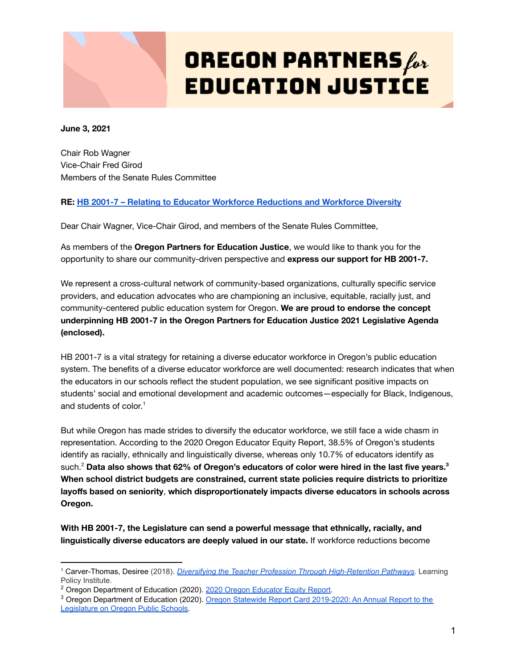

# **OREGON PARTNERS** for **EDUCATION JUSTICE**

**June 3, 2021**

Chair Rob Wagner Vice-Chair Fred Girod Members of the Senate Rules Committee

#### **RE: HB 2001-7 – Relating to Educator Workforce [Reductions](https://olis.oregonlegislature.gov/liz/2021R1/Measures/Overview/HB2001) and Workforce Diversity**

Dear Chair Wagner, Vice-Chair Girod, and members of the Senate Rules Committee,

As members of the **Oregon Partners for Education Justice**, we would like to thank you for the opportunity to share our community-driven perspective and **express our support for HB 2001-7.**

We represent a cross-cultural network of community-based organizations, culturally specific service providers, and education advocates who are championing an inclusive, equitable, racially just, and community-centered public education system for Oregon. **We are proud to endorse the concept underpinning HB 2001-7 in the Oregon Partners for Education Justice 2021 Legislative Agenda (enclosed).**

HB 2001-7 is a vital strategy for retaining a diverse educator workforce in Oregon's public education system. The benefits of a diverse educator workforce are well documented: research indicates that when the educators in our schools reflect the student population, we see significant positive impacts on students' social and emotional development and academic outcomes—especially for Black, Indigenous, and students of color. 1

But while Oregon has made strides to diversify the educator workforce, we still face a wide chasm in representation. According to the 2020 Oregon Educator Equity Report, 38.5% of Oregon's students identify as racially, ethnically and linguistically diverse, whereas only 10.7% of educators identify as  ${\sf such.}^2$  Data also shows that 62% of Oregon's educators of color were hired in the last five years. $^3$ **When school district budgets are constrained, current state policies require districts to prioritize layoffs based on seniority**, **which disproportionately impacts diverse educators in schools across Oregon.**

**With HB 2001-7, the Legislature can send a powerful message that ethnically, racially, and linguistically diverse educators are deeply valued in our state.** If workforce reductions become

<sup>1</sup> Carver-Thomas, Desiree (2018). *Diversifying the Teacher [Profession Through High-Retention Pathways.](https://learningpolicyinstitute.org/sites/default/files/product-files/Diversifying_Teaching_Profession_BRIEF.pdf)* Learning Policy Institute.

<sup>&</sup>lt;sup>2</sup> Oregon Department of Education (2020). 2020 Oregon [Educator Equity Report.](https://www.oregon.gov/highered/research/Documents/Reports/2020-Educator-Equity-Report.pdf)

<sup>3</sup> Oregon Department of Education (2020). Oregon Statewide [Report Card 2019-2020: An Annual Report to the](https://www.oregon.gov/ode/schools-and-districts/reportcards/Documents/rptcard2020.pdf)

[Legislature on Oregon Public Schools.](https://www.oregon.gov/ode/schools-and-districts/reportcards/Documents/rptcard2020.pdf)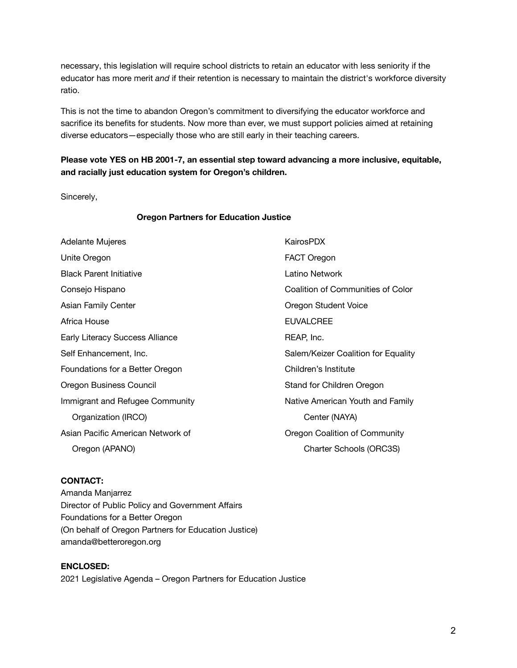necessary, this legislation will require school districts to retain an educator with less seniority if the educator has more merit *and* if their retention is necessary to maintain the district's workforce diversity ratio.

This is not the time to abandon Oregon's commitment to diversifying the educator workforce and sacrifice its benefits for students. Now more than ever, we must support policies aimed at retaining diverse educators—especially those who are still early in their teaching careers.

### **Please vote YES on HB 2001-7, an essential step toward advancing a more inclusive, equitable, and racially just education system for Oregon's children.**

Sincerely,

#### **Oregon Partners for Education Justice**

| Adelante Mujeres                  | KairosPDX                                |
|-----------------------------------|------------------------------------------|
| Unite Oregon                      | FACT Oregon                              |
| <b>Black Parent Initiative</b>    | Latino Network                           |
| Consejo Hispano                   | <b>Coalition of Communities of Color</b> |
| Asian Family Center               | Oregon Student Voice                     |
| Africa House                      | <b>EUVALCREE</b>                         |
| Early Literacy Success Alliance   | REAP, Inc.                               |
| Self Enhancement, Inc.            | Salem/Keizer Coalition for Equality      |
| Foundations for a Better Oregon   | Children's Institute                     |
| Oregon Business Council           | Stand for Children Oregon                |
| Immigrant and Refugee Community   | Native American Youth and Family         |
| Organization (IRCO)               | Center (NAYA)                            |
| Asian Pacific American Network of | Oregon Coalition of Community            |
| Oregon (APANO)                    | Charter Schools (ORC3S)                  |

#### **CONTACT:**

Amanda Manjarrez Director of Public Policy and Government Affairs Foundations for a Better Oregon (On behalf of Oregon Partners for Education Justice) amanda@betteroregon.org

**ENCLOSED:** 2021 Legislative Agenda – Oregon Partners for Education Justice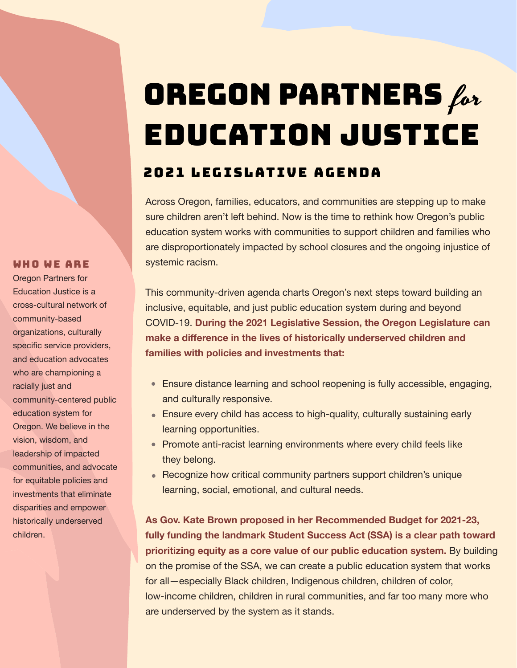# OREGON PARTNERS for EDUCATION JUSTICE

### 2021 LEGISLATIVE AGENDA

Across Oregon, families, educators, and communities are stepping up to make sure children aren't left behind. Now is the time to rethink how Oregon's public education system works with communities to support children and families who are disproportionately impacted by school closures and the ongoing injustice of systemic racism.

This community-driven agenda charts Oregon's next steps toward building an inclusive, equitable, and just public education system during and beyond COVID-19. **During the 2021 Legislative Session, the Oregon Legislature can make a difference in the lives of historically underserved children and families with policies and investments that:**

- Ensure distance learning and school reopening is fully accessible, engaging, and culturally responsive.
- Ensure every child has access to high-quality, culturally sustaining early learning opportunities.
- Promote anti-racist learning environments where every child feels like they belong.
- Recognize how critical community partners support children's unique learning, social, emotional, and cultural needs.

**As Gov. Kate Brown proposed in her Recommended Budget for 2021-23, fully funding the landmark Student Success Act (SSA) is a clear path toward prioritizing equity as a core value of our public education system.** By building on the promise of the SSA, we can create a public education system that works for all—especially Black children, Indigenous children, children of color, low-income children, children in rural communities, and far too many more who are underserved by the system as it stands.

#### WHO WE ARE

Oregon Partners for Education Justice is a cross-cultural network of community-based organizations, culturally specific service providers, and education advocates who are championing a racially just and community-centered public education system for Oregon. We believe in the vision, wisdom, and leadership of impacted communities, and advocate for equitable policies and investments that eliminate disparities and empower historically underserved children.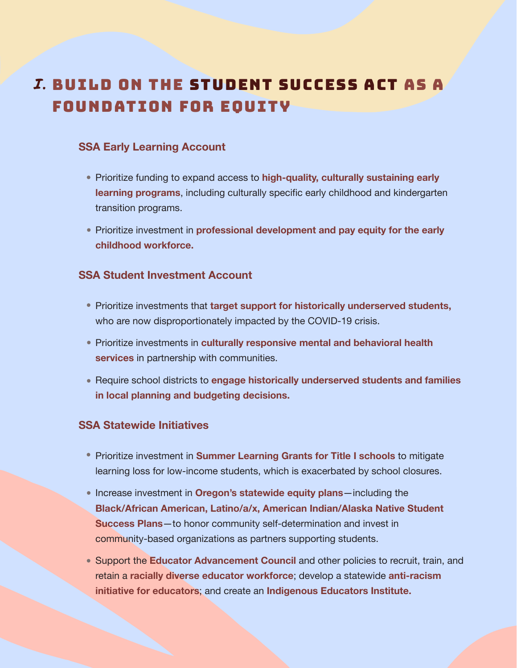### BUILD ON THE STUDENT SUCCESS ACT AS A I. FOUNDATION FOR EQUITY

### **SSA Early Learning Account**

- Prioritize funding to expand access to **high-quality, culturally sustaining early learning programs**, including culturally specific early childhood and kindergarten transition programs.
- Prioritize investment in **professional development and pay equity for the early childhood workforce.**

### **SSA Student Investment Account**

- **Prioritize investments that target support for historically underserved students,** who are now disproportionately impacted by the COVID-19 crisis.
- **Prioritize investments in culturally responsive mental and behavioral health services** in partnership with communities.
- Require school districts to **engage historically underserved students and families in local planning and budgeting decisions.**

### **SSA Statewide Initiatives**

- Prioritize investment in **Summer Learning Grants for Title I schools** to mitigate learning loss for low-income students, which is exacerbated by school closures.
- **Increase investment in Oregon's statewide equity plans**—including the **Black/African American, Latino/a/x, American Indian/Alaska Native Student Success Plans**—to honor community self-determination and invest in community-based organizations as partners supporting students.
- Support the **Educator Advancement Council** and other policies to recruit, train, and retain a **racially diverse educator workforce**; develop a statewide **anti-racism initiative for educators**; and create an **Indigenous Educators Institute.**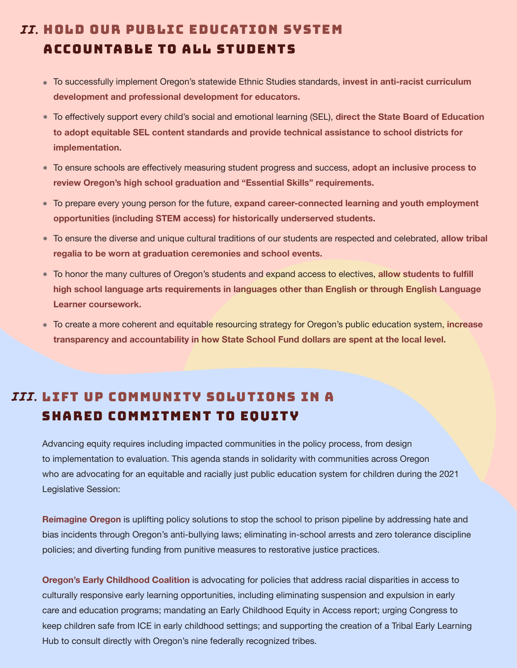### *II.* HOLD OUR PUBLIC EDUCATION SYSTEM ACCOUNTABLE TO ALL STUDENTS

- To successfully implement Oregon's statewide Ethnic Studies standards, **invest in anti-racist curriculum development and professional development for educators.**
- To effectively support every child's social and emotional learning (SEL), **direct the State Board of Education to adopt equitable SEL content standards and provide technical assistance to school districts for implementation.**
- To ensure schools are effectively measuring student progress and success, **adopt an inclusive process to review Oregon's high school graduation and "Essential Skills" requirements.**
- To prepare every young person for the future, **expand career-connected learning and youth employment opportunities (including STEM access) for historically underserved students.**
- To ensure the diverse and unique cultural traditions of our students are respected and celebrated, **allow tribal regalia to be worn at graduation ceremonies and school events.**
- To honor the many cultures of Oregon's students and expand access to electives, **allow students to fulfill high school language arts requirements in languages other than English or through English Language Learner coursework.**
- To create a more coherent and equitable resourcing strategy for Oregon's public education system, **increase transparency and accountability in how State School Fund dollars are spent at the local level.**

### *III.* LIFT UP COMMUNITY SOLUTIONS IN A SHARED COMMITMENT TO EQUITY

Advancing equity requires including impacted communities in the policy process, from design to implementation to evaluation. This agenda stands in solidarity with communities across Oregon who are advocating for an equitable and racially just public education system for children during the 2021 Legislative Session:

**Reimagine Oregon** is uplifting policy solutions to stop the school to prison pipeline by addressing hate and bias incidents through Oregon's anti-bullying laws; eliminating in-school arrests and zero tolerance discipline policies; and diverting funding from punitive measures to restorative justice practices.

**Oregon's Early Childhood Coalition** is advocating for policies that address racial disparities in access to culturally responsive early learning opportunities, including eliminating suspension and expulsion in early care and education programs; mandating an Early Childhood Equity in Access report; urging Congress to keep children safe from ICE in early childhood settings; and supporting the creation of a Tribal Early Learning Hub to consult directly with Oregon's nine federally recognized tribes.